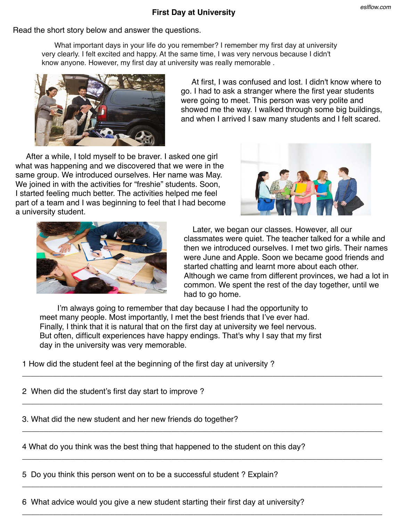## **First Day at University**

## Read the short story below and answer the questions.

What important days in your life do you remember? I remember my first day at university very clearly. I felt excited and happy. At the same time, I was very nervous because I didn't know anyone. However, my first day at university was really memorable .



 At first, I was confused and lost. I didn't know where to go. I had to ask a stranger where the first year students were going to meet. This person was very polite and showed me the way. I walked through some big buildings, and when I arrived I saw many students and I felt scared.

 After a while, I told myself to be braver. I asked one girl what was happening and we discovered that we were in the same group. We introduced ourselves. Her name was May. We joined in with the activities for "freshie" students. Soon, I started feeling much better. The activities helped me feel part of a team and I was beginning to feel that I had become a university student.





 Later, we began our classes. However, all our classmates were quiet. The teacher talked for a while and then we introduced ourselves. I met two girls. Their names were June and Apple. Soon we became good friends and started chatting and learnt more about each other. Although we came from different provinces, we had a lot in common. We spent the rest of the day together, until we had to go home.

 I'm always going to remember that day because I had the opportunity to meet many people. Most importantly, I met the best friends that I've ever had. Finally, I think that it is natural that on the first day at university we feel nervous. But often, difficult experiences have happy endings. That's why I say that my first day in the university was very memorable.

\_\_\_\_\_\_\_\_\_\_\_\_\_\_\_\_\_\_\_\_\_\_\_\_\_\_\_\_\_\_\_\_\_\_\_\_\_\_\_\_\_\_\_\_\_\_\_\_\_\_\_\_\_\_\_\_\_\_\_\_\_\_\_\_\_\_\_\_\_\_\_\_\_\_\_\_\_\_\_\_\_\_

\_\_\_\_\_\_\_\_\_\_\_\_\_\_\_\_\_\_\_\_\_\_\_\_\_\_\_\_\_\_\_\_\_\_\_\_\_\_\_\_\_\_\_\_\_\_\_\_\_\_\_\_\_\_\_\_\_\_\_\_\_\_\_\_\_\_\_\_\_\_\_\_\_\_\_\_\_\_\_\_\_\_

\_\_\_\_\_\_\_\_\_\_\_\_\_\_\_\_\_\_\_\_\_\_\_\_\_\_\_\_\_\_\_\_\_\_\_\_\_\_\_\_\_\_\_\_\_\_\_\_\_\_\_\_\_\_\_\_\_\_\_\_\_\_\_\_\_\_\_\_\_\_\_\_\_\_\_\_\_\_\_\_\_\_

\_\_\_\_\_\_\_\_\_\_\_\_\_\_\_\_\_\_\_\_\_\_\_\_\_\_\_\_\_\_\_\_\_\_\_\_\_\_\_\_\_\_\_\_\_\_\_\_\_\_\_\_\_\_\_\_\_\_\_\_\_\_\_\_\_\_\_\_\_\_\_\_\_\_\_\_\_\_\_\_\_\_

\_\_\_\_\_\_\_\_\_\_\_\_\_\_\_\_\_\_\_\_\_\_\_\_\_\_\_\_\_\_\_\_\_\_\_\_\_\_\_\_\_\_\_\_\_\_\_\_\_\_\_\_\_\_\_\_\_\_\_\_\_\_\_\_\_\_\_\_\_\_\_\_\_\_\_\_\_\_\_\_\_\_

\_\_\_\_\_\_\_\_\_\_\_\_\_\_\_\_\_\_\_\_\_\_\_\_\_\_\_\_\_\_\_\_\_\_\_\_\_\_\_\_\_\_\_\_\_\_\_\_\_\_\_\_\_\_\_\_\_\_\_\_\_\_\_\_\_\_\_\_\_\_\_\_\_\_\_\_\_\_\_\_\_\_

1 How did the student feel at the beginning of the first day at university ?

2 When did the student's first day start to improve ?

3. What did the new student and her new friends do together?

4 What do you think was the best thing that happened to the student on this day?

5 Do you think this person went on to be a successful student ? Explain?

6 What advice would you give a new student starting their first day at university?